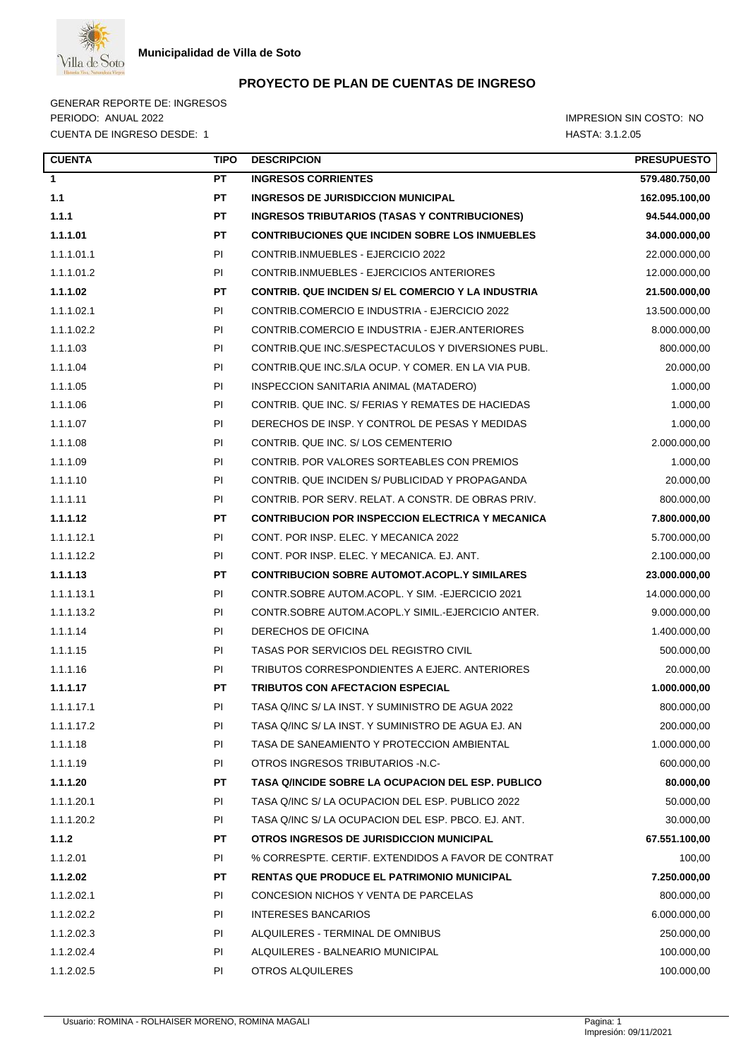

GENERAR REPORTE DE: INGRESOS PERIODO: ANUAL 2022 **IMPRESION SIN COSTO:** NO CUENTA DE INGRESO DESDE: 1 HASTA: 3.1.2.05

| <b>CUENTA</b> | <b>TIPO</b> | <b>DESCRIPCION</b>                                        | <b>PRESUPUESTO</b> |
|---------------|-------------|-----------------------------------------------------------|--------------------|
| $\mathbf{1}$  | <b>PT</b>   | <b>INGRESOS CORRIENTES</b>                                | 579.480.750,00     |
| 1.1           | PT          | <b>INGRESOS DE JURISDICCION MUNICIPAL</b>                 | 162.095.100,00     |
| 1.1.1         | PT          | INGRESOS TRIBUTARIOS (TASAS Y CONTRIBUCIONES)             | 94.544.000,00      |
| 1.1.1.01      | PT          | <b>CONTRIBUCIONES QUE INCIDEN SOBRE LOS INMUEBLES</b>     | 34.000.000,00      |
| 1.1.1.01.1    | PI          | CONTRIB.INMUEBLES - EJERCICIO 2022                        | 22.000.000,00      |
| 1.1.1.01.2    | PI          | CONTRIB.INMUEBLES - EJERCICIOS ANTERIORES                 | 12.000.000,00      |
| 1.1.1.02      | PT.         | <b>CONTRIB. QUE INCIDEN S/ EL COMERCIO Y LA INDUSTRIA</b> | 21.500.000,00      |
| 1.1.1.02.1    | PI          | CONTRIB.COMERCIO E INDUSTRIA - EJERCICIO 2022             | 13.500.000,00      |
| 1.1.1.02.2    | PI          | CONTRIB.COMERCIO E INDUSTRIA - EJER.ANTERIORES            | 8.000.000,00       |
| 1.1.1.03      | PI          | CONTRIB.QUE INC.S/ESPECTACULOS Y DIVERSIONES PUBL.        | 800.000,00         |
| 1.1.1.04      | PI          | CONTRIB.QUE INC.S/LA OCUP. Y COMER. EN LA VIA PUB.        | 20.000,00          |
| 1.1.1.05      | PI          | INSPECCION SANITARIA ANIMAL (MATADERO)                    | 1.000,00           |
| 1.1.1.06      | PI          | CONTRIB. QUE INC. S/ FERIAS Y REMATES DE HACIEDAS         | 1.000,00           |
| 1.1.1.07      | PI          | DERECHOS DE INSP. Y CONTROL DE PESAS Y MEDIDAS            | 1.000,00           |
| 1.1.1.08      | PI          | CONTRIB, QUE INC. S/LOS CEMENTERIO                        | 2.000.000,00       |
| 1.1.1.09      | PI          | CONTRIB. POR VALORES SORTEABLES CON PREMIOS               | 1.000,00           |
| 1.1.1.10      | PI          | CONTRIB. QUE INCIDEN S/ PUBLICIDAD Y PROPAGANDA           | 20.000,00          |
| 1.1.1.11      | PI          | CONTRIB, POR SERV, RELAT, A CONSTR, DE OBRAS PRIV.        | 800.000,00         |
| 1.1.1.12      | PT          | <b>CONTRIBUCION POR INSPECCION ELECTRICA Y MECANICA</b>   | 7.800.000,00       |
| 1.1.1.12.1    | PI          | CONT. POR INSP. ELEC. Y MECANICA 2022                     | 5.700.000,00       |
| 1.1.1.12.2    | PI          | CONT. POR INSP. ELEC. Y MECANICA. EJ. ANT.                | 2.100.000,00       |
| 1.1.1.13      | PT          | <b>CONTRIBUCION SOBRE AUTOMOT.ACOPL.Y SIMILARES</b>       | 23.000.000,00      |
| 1.1.1.13.1    | PI          | CONTR.SOBRE AUTOM.ACOPL. Y SIM. -EJERCICIO 2021           | 14.000.000,00      |
| 1.1.1.13.2    | PI          | CONTR.SOBRE AUTOM.ACOPL.Y SIMIL.-EJERCICIO ANTER.         | 9.000.000,00       |
| 1.1.1.14      | PI          | DERECHOS DE OFICINA                                       | 1.400.000,00       |
| 1.1.1.15      | PI          | TASAS POR SERVICIOS DEL REGISTRO CIVIL                    | 500.000,00         |
| 1.1.1.16      | PI          | TRIBUTOS CORRESPONDIENTES A EJERC. ANTERIORES             | 20.000,00          |
| 1.1.1.17      | PT          | <b>TRIBUTOS CON AFECTACION ESPECIAL</b>                   | 1.000.000,00       |
| 1.1.1.17.1    | PI.         | TASA Q/INC S/ LA INST. Y SUMINISTRO DE AGUA 2022          | 800.000,00         |
| 1.1.1.17.2    | PI          | TASA Q/INC S/ LA INST. Y SUMINISTRO DE AGUA EJ. AN        | 200.000,00         |
| 1.1.1.18      | PI          | TASA DE SANEAMIENTO Y PROTECCION AMBIENTAL                | 1.000.000,00       |
| 1.1.1.19      | PI          | OTROS INGRESOS TRIBUTARIOS -N.C-                          | 600.000,00         |
| 1.1.1.20      | PT          | TASA Q/INCIDE SOBRE LA OCUPACION DEL ESP. PUBLICO         | 80.000,00          |
| 1.1.1.20.1    | PI          | TASA Q/INC S/ LA OCUPACION DEL ESP. PUBLICO 2022          | 50.000,00          |
| 1.1.1.20.2    | PI          | TASA Q/INC S/ LA OCUPACION DEL ESP. PBCO. EJ. ANT.        | 30.000,00          |
| 1.1.2         | PT          | OTROS INGRESOS DE JURISDICCION MUNICIPAL                  | 67.551.100,00      |
| 1.1.2.01      | PI          | % CORRESPTE. CERTIF. EXTENDIDOS A FAVOR DE CONTRAT        | 100,00             |
| 1.1.2.02      | PT          | <b>RENTAS QUE PRODUCE EL PATRIMONIO MUNICIPAL</b>         | 7.250.000,00       |
| 1.1.2.02.1    | PI          | CONCESION NICHOS Y VENTA DE PARCELAS                      | 800.000,00         |
| 1.1.2.02.2    | PI          | <b>INTERESES BANCARIOS</b>                                | 6.000.000,00       |
| 1.1.2.02.3    | PI          | ALQUILERES - TERMINAL DE OMNIBUS                          | 250.000,00         |
| 1.1.2.02.4    | PI          | ALQUILERES - BALNEARIO MUNICIPAL                          | 100.000,00         |
| 1.1.2.02.5    | PI          | OTROS ALQUILERES                                          | 100.000,00         |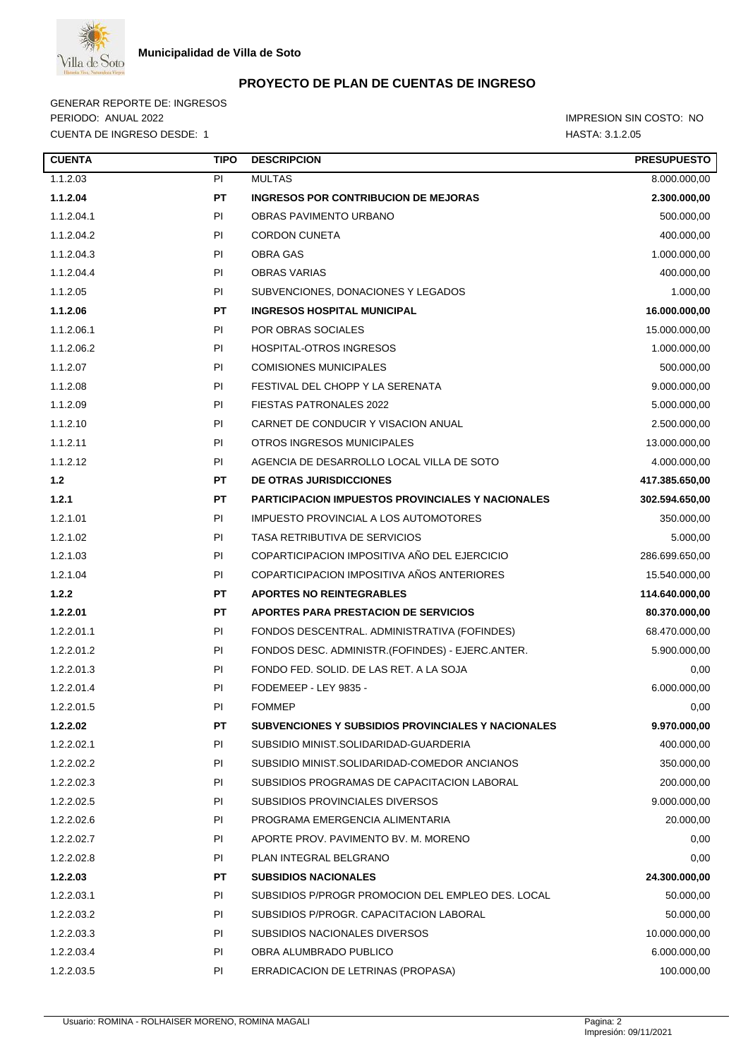

GENERAR REPORTE DE: INGRESOS PERIODO: ANUAL 2022 **IMPRESION SIN COSTO:** NO CUENTA DE INGRESO DESDE: 1 HASTA: 3.1.2.05

| <b>CUENTA</b><br><b>TIPO</b> | <b>DESCRIPCION</b>                                        | <b>PRESUPUESTO</b> |
|------------------------------|-----------------------------------------------------------|--------------------|
| 1.1.2.03<br>PI               | <b>MULTAS</b>                                             | 8.000.000,00       |
| 1.1.2.04<br>PТ               | <b>INGRESOS POR CONTRIBUCION DE MEJORAS</b>               | 2.300.000,00       |
| 1.1.2.04.1<br>PI             | OBRAS PAVIMENTO URBANO                                    | 500.000,00         |
| 1.1.2.04.2<br>ΡI             | <b>CORDON CUNETA</b>                                      | 400.000,00         |
| 1.1.2.04.3<br>PI             | OBRA GAS                                                  | 1.000.000,00       |
| 1.1.2.04.4<br>PI.            | <b>OBRAS VARIAS</b>                                       | 400.000,00         |
| 1.1.2.05<br>PI               | SUBVENCIONES, DONACIONES Y LEGADOS                        | 1.000,00           |
| 1.1.2.06<br>PТ               | <b>INGRESOS HOSPITAL MUNICIPAL</b>                        | 16.000.000,00      |
| 1.1.2.06.1<br>PI             | POR OBRAS SOCIALES                                        | 15.000.000,00      |
| 1.1.2.06.2<br>PI             | HOSPITAL-OTROS INGRESOS                                   | 1.000.000,00       |
| 1.1.2.07<br>PI               | <b>COMISIONES MUNICIPALES</b>                             | 500.000,00         |
| 1.1.2.08<br>PI               | FESTIVAL DEL CHOPP Y LA SERENATA                          | 9.000.000,00       |
| 1.1.2.09<br>PI               | <b>FIESTAS PATRONALES 2022</b>                            | 5.000.000,00       |
| 1.1.2.10<br>PI.              | CARNET DE CONDUCIR Y VISACION ANUAL                       | 2.500.000,00       |
| 1.1.2.11<br>PI               | OTROS INGRESOS MUNICIPALES                                | 13.000.000,00      |
| 1.1.2.12<br>PI               | AGENCIA DE DESARROLLO LOCAL VILLA DE SOTO                 | 4.000.000,00       |
| 1.2<br>PТ                    | <b>DE OTRAS JURISDICCIONES</b>                            | 417.385.650,00     |
| 1.2.1<br>PТ                  | PARTICIPACION IMPUESTOS PROVINCIALES Y NACIONALES         | 302.594.650,00     |
| 1.2.1.01<br>PI               | IMPUESTO PROVINCIAL A LOS AUTOMOTORES                     | 350.000,00         |
| 1.2.1.02<br>PI               | TASA RETRIBUTIVA DE SERVICIOS                             | 5.000,00           |
| 1.2.1.03<br>PI               | COPARTICIPACION IMPOSITIVA AÑO DEL EJERCICIO              | 286.699.650,00     |
| 1.2.1.04<br>PI               | COPARTICIPACION IMPOSITIVA AÑOS ANTERIORES                | 15.540.000,00      |
| 1.2.2<br>PТ                  | <b>APORTES NO REINTEGRABLES</b>                           | 114.640.000,00     |
| 1.2.2.01<br>PТ               | APORTES PARA PRESTACION DE SERVICIOS                      | 80.370.000,00      |
| 1.2.2.01.1<br>ΡI             | FONDOS DESCENTRAL. ADMINISTRATIVA (FOFINDES)              | 68.470.000,00      |
| 1.2.2.01.2<br>PI             | FONDOS DESC. ADMINISTR.(FOFINDES) - EJERC.ANTER.          | 5.900.000,00       |
| 1.2.2.01.3<br>PI             | FONDO FED. SOLID. DE LAS RET. A LA SOJA                   | 0,00               |
| 1.2.2.01.4<br>PI.            | FODEMEEP - LEY 9835 -                                     | 6.000.000,00       |
| PI<br>1.2.2.01.5             | <b>FOMMEP</b>                                             | 0,00               |
| 1.2.2.02<br>РT               | <b>SUBVENCIONES Y SUBSIDIOS PROVINCIALES Y NACIONALES</b> | 9.970.000,00       |
| 1.2.2.02.1<br>PI             | SUBSIDIO MINIST.SOLIDARIDAD-GUARDERIA                     | 400.000,00         |
| 1.2.2.02.2<br>PI             | SUBSIDIO MINIST.SOLIDARIDAD-COMEDOR ANCIANOS              | 350.000,00         |
| 1.2.2.02.3<br>PI             | SUBSIDIOS PROGRAMAS DE CAPACITACION LABORAL               | 200.000,00         |
| 1.2.2.02.5<br>PI.            | SUBSIDIOS PROVINCIALES DIVERSOS                           | 9.000.000,00       |
| 1.2.2.02.6<br>ΡI             | PROGRAMA EMERGENCIA ALIMENTARIA                           | 20.000,00          |
| 1.2.2.02.7<br>PI             | APORTE PROV. PAVIMENTO BV. M. MORENO                      | 0,00               |
| 1.2.2.02.8<br>PI             | PLAN INTEGRAL BELGRANO                                    | 0,00               |
| 1.2.2.03<br>PТ               | <b>SUBSIDIOS NACIONALES</b>                               | 24.300.000,00      |
| 1.2.2.03.1<br>PI             | SUBSIDIOS P/PROGR PROMOCION DEL EMPLEO DES. LOCAL         | 50.000,00          |
| 1.2.2.03.2<br>PI             | SUBSIDIOS P/PROGR. CAPACITACION LABORAL                   | 50.000,00          |
| 1.2.2.03.3<br>PI             | SUBSIDIOS NACIONALES DIVERSOS                             | 10.000.000,00      |
| 1.2.2.03.4<br>ΡI             | OBRA ALUMBRADO PUBLICO                                    | 6.000.000,00       |
| 1.2.2.03.5<br>ΡI             | ERRADICACION DE LETRINAS (PROPASA)                        | 100.000,00         |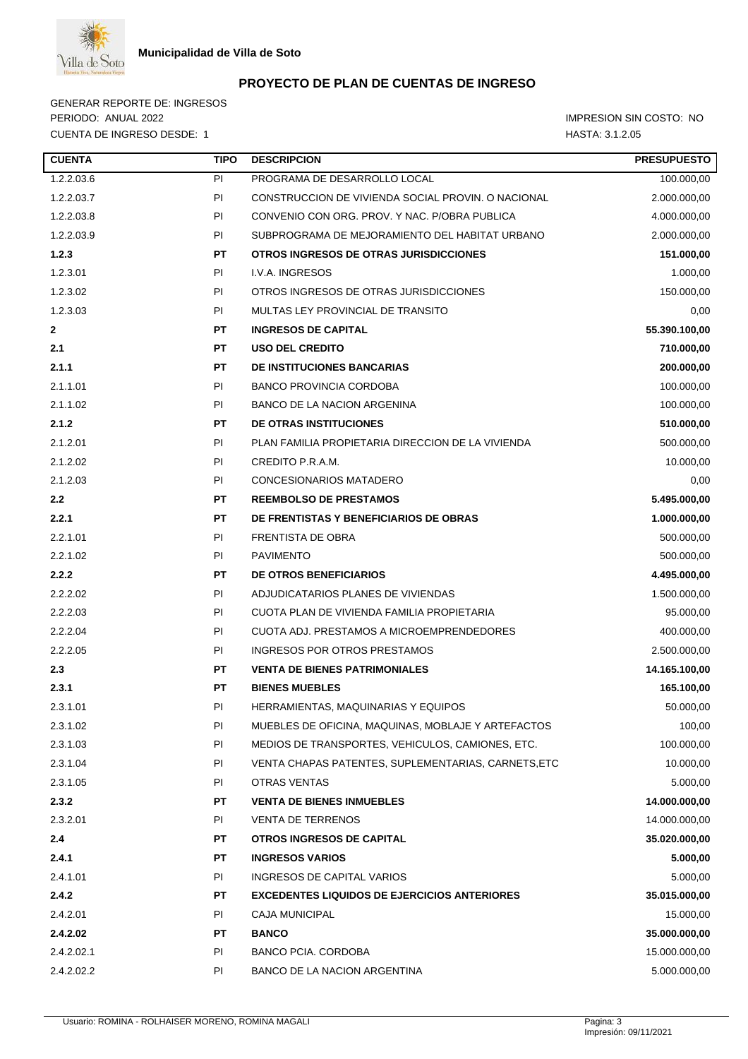

GENERAR REPORTE DE: INGRESOS PERIODO: ANUAL 2022 **IMPRESION SIN COSTO:** NO CUENTA DE INGRESO DESDE: 1 HASTA: 3.1.2.05

| <b>CUENTA</b> | <b>TIPO</b> | <b>DESCRIPCION</b>                                  | <b>PRESUPUESTO</b> |
|---------------|-------------|-----------------------------------------------------|--------------------|
| 1.2.2.03.6    | PI          | PROGRAMA DE DESARROLLO LOCAL                        | 100.000,00         |
| 1.2.2.03.7    | PI          | CONSTRUCCION DE VIVIENDA SOCIAL PROVIN. O NACIONAL  | 2.000.000,00       |
| 1.2.2.03.8    | PI.         | CONVENIO CON ORG. PROV. Y NAC. P/OBRA PUBLICA       | 4.000.000,00       |
| 1.2.2.03.9    | PI          | SUBPROGRAMA DE MEJORAMIENTO DEL HABITAT URBANO      | 2.000.000,00       |
| 1.2.3         | <b>PT</b>   | OTROS INGRESOS DE OTRAS JURISDICCIONES              | 151.000,00         |
| 1.2.3.01      | PI          | I.V.A. INGRESOS                                     | 1.000,00           |
| 1.2.3.02      | PI.         | OTROS INGRESOS DE OTRAS JURISDICCIONES              | 150.000,00         |
| 1.2.3.03      | PI          | MULTAS LEY PROVINCIAL DE TRANSITO                   | 0,00               |
| $\mathbf{2}$  | <b>PT</b>   | <b>INGRESOS DE CAPITAL</b>                          | 55.390.100,00      |
| 2.1           | <b>PT</b>   | <b>USO DEL CREDITO</b>                              | 710.000,00         |
| 2.1.1         | <b>PT</b>   | <b>DE INSTITUCIONES BANCARIAS</b>                   | 200.000,00         |
| 2.1.1.01      | PI          | <b>BANCO PROVINCIA CORDOBA</b>                      | 100.000,00         |
| 2.1.1.02      | PI          | <b>BANCO DE LA NACION ARGENINA</b>                  | 100.000,00         |
| 2.1.2         | <b>PT</b>   | <b>DE OTRAS INSTITUCIONES</b>                       | 510.000,00         |
| 2.1.2.01      | PI          | PLAN FAMILIA PROPIETARIA DIRECCION DE LA VIVIENDA   | 500.000,00         |
| 2.1.2.02      | PI          | CREDITO P.R.A.M.                                    | 10.000,00          |
| 2.1.2.03      | PI          | CONCESIONARIOS MATADERO                             | 0,00               |
| 2.2           | <b>PT</b>   | <b>REEMBOLSO DE PRESTAMOS</b>                       | 5.495.000,00       |
| 2.2.1         | PT.         | <b>DE FRENTISTAS Y BENEFICIARIOS DE OBRAS</b>       | 1.000.000,00       |
| 2.2.1.01      | PI          | <b>FRENTISTA DE OBRA</b>                            | 500.000,00         |
| 2.2.1.02      | PI          | <b>PAVIMENTO</b>                                    | 500.000,00         |
| 2.2.2         | <b>PT</b>   | <b>DE OTROS BENEFICIARIOS</b>                       | 4.495.000,00       |
| 2.2.2.02      | PI          | ADJUDICATARIOS PLANES DE VIVIENDAS                  | 1.500.000,00       |
| 2.2.2.03      | PI          | CUOTA PLAN DE VIVIENDA FAMILIA PROPIETARIA          | 95.000,00          |
| 2.2.2.04      | PI          | CUOTA ADJ. PRESTAMOS A MICROEMPRENDEDORES           | 400.000,00         |
| 2.2.2.05      | PI          | <b>INGRESOS POR OTROS PRESTAMOS</b>                 | 2.500.000,00       |
| 2.3           | PT.         | <b>VENTA DE BIENES PATRIMONIALES</b>                | 14.165.100,00      |
| 2.3.1         | <b>PT</b>   | <b>BIENES MUEBLES</b>                               | 165.100,00         |
| 2.3.1.01      | PI          | HERRAMIENTAS, MAQUINARIAS Y EQUIPOS                 | 50.000,00          |
| 2.3.1.02      | PI          | MUEBLES DE OFICINA, MAQUINAS, MOBLAJE Y ARTEFACTOS  | 100,00             |
| 2.3.1.03      | PI          | MEDIOS DE TRANSPORTES, VEHICULOS, CAMIONES, ETC.    | 100.000,00         |
| 2.3.1.04      | PI          | VENTA CHAPAS PATENTES, SUPLEMENTARIAS, CARNETS, ETC | 10.000,00          |
| 2.3.1.05      | PI          | <b>OTRAS VENTAS</b>                                 | 5.000,00           |
| 2.3.2         | PT          | <b>VENTA DE BIENES INMUEBLES</b>                    | 14.000.000,00      |
| 2.3.2.01      | PI          | <b>VENTA DE TERRENOS</b>                            | 14.000.000,00      |
| 2.4           | PT          | <b>OTROS INGRESOS DE CAPITAL</b>                    | 35.020.000,00      |
| 2.4.1         | PT.         | <b>INGRESOS VARIOS</b>                              | 5.000,00           |
| 2.4.1.01      | PI          | INGRESOS DE CAPITAL VARIOS                          | 5.000,00           |
| 2.4.2         | PT          | <b>EXCEDENTES LIQUIDOS DE EJERCICIOS ANTERIORES</b> | 35.015.000,00      |
| 2.4.2.01      | PI          | <b>CAJA MUNICIPAL</b>                               | 15.000,00          |
| 2.4.2.02      | PT          | <b>BANCO</b>                                        | 35.000.000,00      |
| 2.4.2.02.1    | PI          | <b>BANCO PCIA. CORDOBA</b>                          | 15.000.000,00      |
| 2.4.2.02.2    | PI          | BANCO DE LA NACION ARGENTINA                        | 5.000.000,00       |